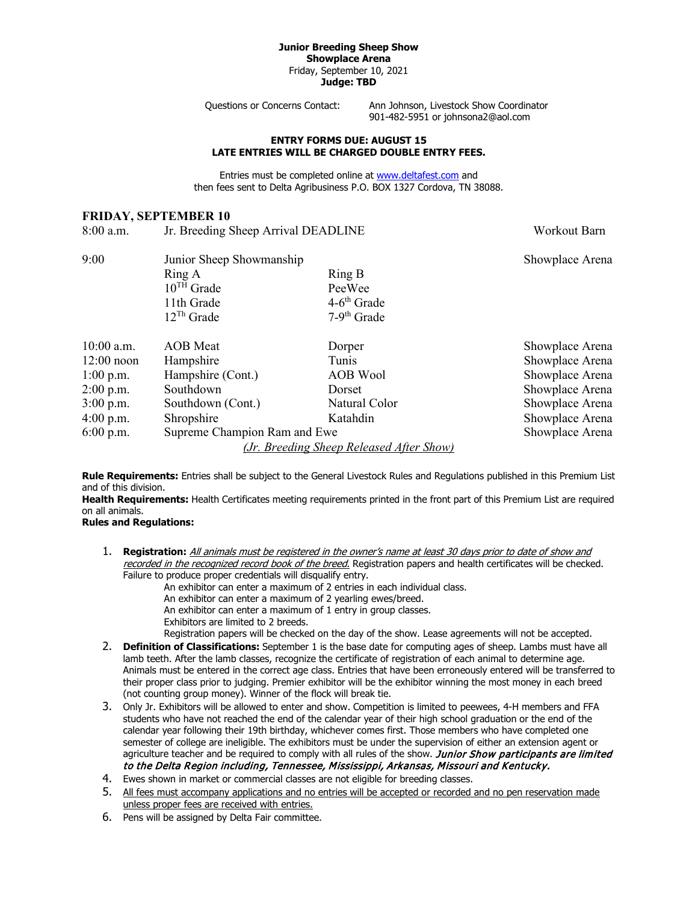#### **Junior Breeding Sheep Show Showplace Arena** Friday, September 10, 2021 **Judge: TBD**

Questions or Concerns Contact: Ann Johnson, Livestock Show Coordinator 901-482-5951 or johnsona2@aol.com

### **ENTRY FORMS DUE: AUGUST 15 LATE ENTRIES WILL BE CHARGED DOUBLE ENTRY FEES.**

Entries must be completed online at [www.deltafest.com](http://www.deltafest.com/) and then fees sent to Delta Agribusiness P.O. BOX 1327 Cordova, TN 38088.

# **FRIDAY, SEPTEMBER 10**

| $8:00$ a.m.  | Jr. Breeding Sheep Arrival DEADLINE | Workout Barn                             |                 |
|--------------|-------------------------------------|------------------------------------------|-----------------|
| 9:00         | Junior Sheep Showmanship            | Showplace Arena                          |                 |
|              | Ring A                              | Ring B                                   |                 |
|              | $10^{TH}$ Grade                     | PeeWee                                   |                 |
|              | 11th Grade                          | $4-6$ <sup>th</sup> Grade                |                 |
|              | $12^{Th}$ Grade                     | $7-9th$ Grade                            |                 |
| 10:00 a.m.   | <b>AOB</b> Meat                     | Dorper                                   | Showplace Arena |
| $12:00$ noon | Hampshire                           | Tunis                                    | Showplace Arena |
| $1:00$ p.m.  | Hampshire (Cont.)                   | <b>AOB</b> Wool                          | Showplace Arena |
| $2:00$ p.m.  | Southdown                           | Dorset                                   | Showplace Arena |
| $3:00$ p.m.  | Southdown (Cont.)                   | Natural Color                            | Showplace Arena |
| $4:00$ p.m.  | Shropshire                          | Katahdin                                 | Showplace Arena |
| $6:00$ p.m.  | Supreme Champion Ram and Ewe        | Showplace Arena                          |                 |
|              |                                     | (Jr. Breeding Sheep Released After Show) |                 |

**Rule Requirements:** Entries shall be subject to the General Livestock Rules and Regulations published in this Premium List and of this division.

**Health Requirements:** Health Certificates meeting requirements printed in the front part of this Premium List are required on all animals.

## **Rules and Regulations:**

1. **Registration:** All animals must be registered in the owner's name at least 30 days prior to date of show and recorded in the recognized record book of the breed. Registration papers and health certificates will be checked. Failure to produce proper credentials will disqualify entry.

An exhibitor can enter a maximum of 2 entries in each individual class.

An exhibitor can enter a maximum of 2 yearling ewes/breed.

An exhibitor can enter a maximum of 1 entry in group classes.

Exhibitors are limited to 2 breeds.

Registration papers will be checked on the day of the show. Lease agreements will not be accepted.

- 2. **Definition of Classifications:** September 1 is the base date for computing ages of sheep. Lambs must have all lamb teeth. After the lamb classes, recognize the certificate of registration of each animal to determine age. Animals must be entered in the correct age class. Entries that have been erroneously entered will be transferred to their proper class prior to judging. Premier exhibitor will be the exhibitor winning the most money in each breed (not counting group money). Winner of the flock will break tie.
- 3. Only Jr. Exhibitors will be allowed to enter and show. Competition is limited to peewees, 4-H members and FFA students who have not reached the end of the calendar year of their high school graduation or the end of the calendar year following their 19th birthday, whichever comes first. Those members who have completed one semester of college are ineligible. The exhibitors must be under the supervision of either an extension agent or agriculture teacher and be required to comply with all rules of the show. Junior Show participants are limited to the Delta Region including, Tennessee, Mississippi, Arkansas, Missouri and Kentucky.
- 4. Ewes shown in market or commercial classes are not eligible for breeding classes.
- 5. All fees must accompany applications and no entries will be accepted or recorded and no pen reservation made unless proper fees are received with entries.
- 6. Pens will be assigned by Delta Fair committee.